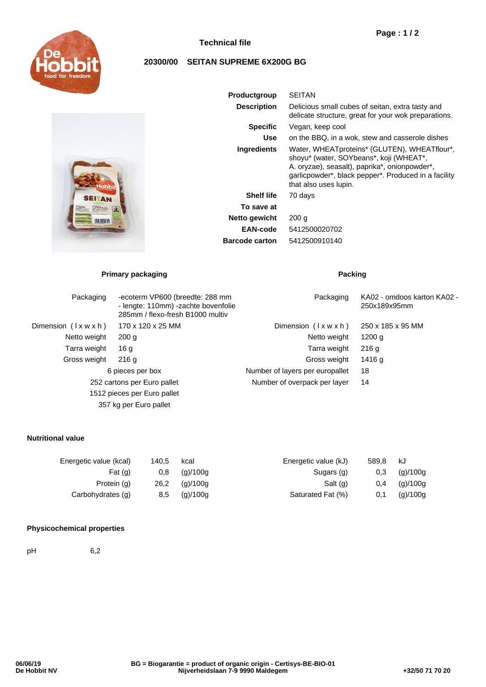

# **Technical file**

# **20300/00 SEITAN SUPREME 6X200G BG**

| edom                                                                                                                                            |
|-------------------------------------------------------------------------------------------------------------------------------------------------|
| <b>SEITAN</b><br>Suprême                                                                                                                        |
| <b>PHOTOGRAPH</b><br>AND COMPANY AND COMPANY<br>MOTORS COMPANY<br>LONGING COMPANY<br><b>SENTE</b><br><b>EX 20 SOUTH VS Blank</b>                |
| $\sigma$<br>200q<br>266 <sub>3</sub><br>ś<br><b>Visit and</b><br><b>COMMAN</b><br>Territori ni resolutation ha<br><b>Notice</b><br>c<br>陈<br>ĸ. |
|                                                                                                                                                 |

| Productgroup<br><b>Description</b> | SEITAN<br>Delicious small cubes of seitan, extra tasty and<br>delicate structure, great for your wok preparations.                                                                                                        |
|------------------------------------|---------------------------------------------------------------------------------------------------------------------------------------------------------------------------------------------------------------------------|
| <b>Specific</b>                    | Vegan, keep cool                                                                                                                                                                                                          |
| Use                                | on the BBQ, in a wok, stew and casserole dishes                                                                                                                                                                           |
| Ingredients                        | Water, WHEATproteins* (GLUTEN), WHEATflour*,<br>shoyu* (water, SOYbeans*, koji (WHEAT*,<br>A. oryzae), seasalt), paprika*, onionpowder*,<br>garlicpowder*, black pepper*. Produced in a facility<br>that also uses lupin. |
| <b>Shelf life</b>                  | 70 days                                                                                                                                                                                                                   |
| To save at                         |                                                                                                                                                                                                                           |
| Netto gewicht                      | 200q                                                                                                                                                                                                                      |
| EAN-code                           | 5412500020702                                                                                                                                                                                                             |
| <b>Barcode carton</b>              | 5412500910140                                                                                                                                                                                                             |

## **Primary packaging Packing Packing**

| Packaging                     | -ecoterm VP600 (breedte: 288 mm<br>- lengte: 110mm) -zachte bovenfolie<br>285mm / flexo-fresh B1000 multiv | Packaging                       | KA02 - omdoos karton KA02 -<br>250x189x95mm |
|-------------------------------|------------------------------------------------------------------------------------------------------------|---------------------------------|---------------------------------------------|
| Dimension $(\forall x w x h)$ | 170 x 120 x 25 MM                                                                                          | Dimension $(\forall x w x h)$   | 250 x 185 x 95 MM                           |
| Netto weight                  | 200 <sub>g</sub>                                                                                           | Netto weight                    | $1200$ q                                    |
| Tarra weight                  | 16 g                                                                                                       | Tarra weight                    | 216q                                        |
| Gross weight                  | 216q                                                                                                       | Gross weight                    | 1416 g                                      |
| 6 pieces per box              |                                                                                                            | Number of layers per europallet | 18                                          |
| 252 cartons per Euro pallet   |                                                                                                            | Number of overpack per layer    | 14                                          |
|                               | 1512 pieces per Euro pallet                                                                                |                                 |                                             |
|                               | 357 kg per Euro pallet                                                                                     |                                 |                                             |

### **Nutritional value**

| Energetic value (kcal) | 140.5 | kcal     | Energetic value (kJ) | 589,8 | kJ.      |
|------------------------|-------|----------|----------------------|-------|----------|
| Fat $(q)$              | 0.8   | (g)/100g | Sugars (g)           | 0,3   | (g)/100g |
| Protein (g)            | 26,2  | (g)/100g | Salt (g)             | 0.4   | (g)/100g |
| Carbohydrates (g)      | 8.5   | (g)/100g | Saturated Fat (%)    | 0.1   | (g)/100g |

## **Physicochemical properties**

pH 6,2